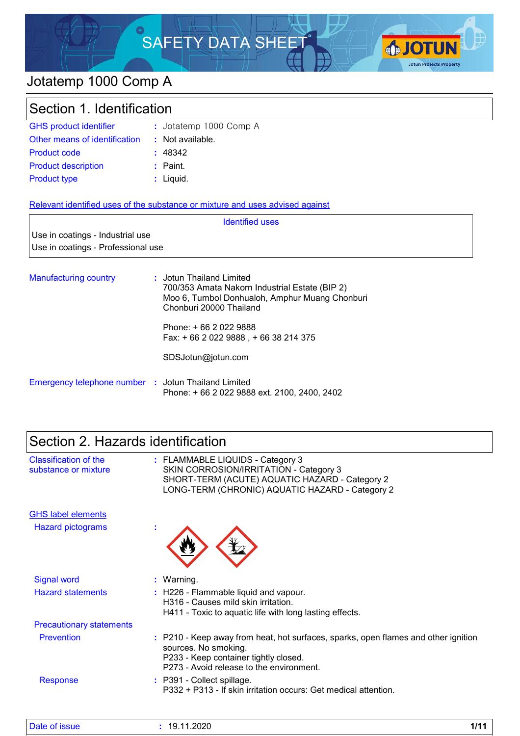# SAFETY DATA SHEET



### Jotatemp 1000 Comp A

### Section 1. Identification

| <b>GHS product identifier</b> | : Jotatemp 1000 Comp A |
|-------------------------------|------------------------|
| Other means of identification | : Not available.       |
| <b>Product code</b>           | : 48342                |
| <b>Product description</b>    | : Paint.               |
| <b>Product type</b>           | $:$ Liquid.            |

#### Relevant identified uses of the substance or mixture and uses advised against

|                                    | <b>Identified uses</b> |
|------------------------------------|------------------------|
| Use in coatings - Industrial use   |                        |
| Use in coatings - Professional use |                        |
|                                    |                        |

| <b>Manufacturing country</b> | : Jotun Thailand Limited<br>700/353 Amata Nakorn Industrial Estate (BIP 2)<br>Moo 6, Tumbol Donhualoh, Amphur Muang Chonburi<br>Chonburi 20000 Thailand |
|------------------------------|---------------------------------------------------------------------------------------------------------------------------------------------------------|
|                              | Phone: + 66 2 022 9888                                                                                                                                  |

Fax: + 66 2 022 9888 , + 66 38 214 375

SDSJotun@jotun.com

| Emergency telephone number : Jotun Thailand Limited |                                              |
|-----------------------------------------------------|----------------------------------------------|
|                                                     | Phone: + 66 2 022 9888 ext. 2100, 2400, 2402 |

### Section 2. Hazards identification

| <b>Classification of the</b><br>substance or mixture | : FLAMMABLE LIQUIDS - Category 3<br>SKIN CORROSION/IRRITATION - Category 3<br>SHORT-TERM (ACUTE) AQUATIC HAZARD - Category 2<br>LONG-TERM (CHRONIC) AQUATIC HAZARD - Category 2                 |
|------------------------------------------------------|-------------------------------------------------------------------------------------------------------------------------------------------------------------------------------------------------|
| <b>GHS label elements</b>                            |                                                                                                                                                                                                 |
| <b>Hazard pictograms</b>                             |                                                                                                                                                                                                 |
| <b>Signal word</b>                                   | : Warning.                                                                                                                                                                                      |
| <b>Hazard statements</b>                             | : H226 - Flammable liquid and vapour.<br>H316 - Causes mild skin irritation.<br>H411 - Toxic to aquatic life with long lasting effects.                                                         |
| <b>Precautionary statements</b>                      |                                                                                                                                                                                                 |
| <b>Prevention</b>                                    | : P210 - Keep away from heat, hot surfaces, sparks, open flames and other ignition<br>sources. No smoking.<br>P233 - Keep container tightly closed.<br>P273 - Avoid release to the environment. |
| <b>Response</b>                                      | : P391 - Collect spillage.<br>P332 + P313 - If skin irritation occurs: Get medical attention.                                                                                                   |

| <u>I</u> Date of issue | 1.2020<br>1 A<br>1 Q<br>.<br>__ | 4 I A A<br>. |
|------------------------|---------------------------------|--------------|
|------------------------|---------------------------------|--------------|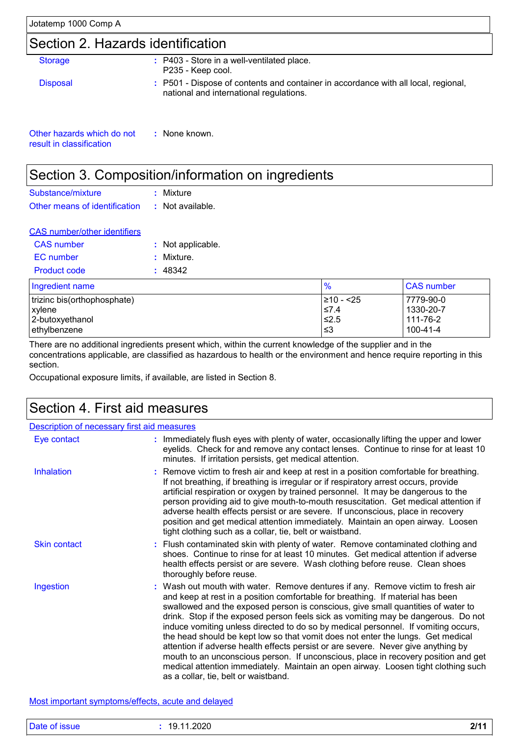### Section 2. Hazards identification

| <b>Storage</b>             | : P403 - Store in a well-ventilated place.<br>P235 - Keep cool.                                                               |
|----------------------------|-------------------------------------------------------------------------------------------------------------------------------|
| <b>Disposal</b>            | : P501 - Dispose of contents and container in accordance with all local, regional,<br>national and international regulations. |
| Other hazards which do not | None known.                                                                                                                   |

Other hazards which do not result in classification

### Section 3. Composition/information on ingredients

| Substance/mixture                              | : Mixture |
|------------------------------------------------|-----------|
| Other means of identification : Not available. |           |

| <b>CAS number/other identifiers</b> |                   |
|-------------------------------------|-------------------|
| <b>CAS</b> number                   | : Not applicable. |
| EC number                           | : Mixture.        |
| Product code                        | : 48342           |
|                                     |                   |

| Ingredient name             | %          | <b>CAS</b> number |
|-----------------------------|------------|-------------------|
| trizinc bis(orthophosphate) | 1≥10 - <25 | 7779-90-0         |
| xylene                      | $≤7.4$     | 1330-20-7         |
| 2-butoxyethanol             | 1≤2.5      | 111-76-2          |
| lethylbenzene               | ∣≤3        | 100-41-4          |

There are no additional ingredients present which, within the current knowledge of the supplier and in the concentrations applicable, are classified as hazardous to health or the environment and hence require reporting in this section.

Occupational exposure limits, if available, are listed in Section 8.

### Section 4. First aid measures

| <b>Description of necessary first aid measures</b> |                                                                                                                                                                                                                                                                                                                                                                                                                                                                                                                                                                                                                                                                                                                                                                                                                              |
|----------------------------------------------------|------------------------------------------------------------------------------------------------------------------------------------------------------------------------------------------------------------------------------------------------------------------------------------------------------------------------------------------------------------------------------------------------------------------------------------------------------------------------------------------------------------------------------------------------------------------------------------------------------------------------------------------------------------------------------------------------------------------------------------------------------------------------------------------------------------------------------|
| Eye contact                                        | : Immediately flush eyes with plenty of water, occasionally lifting the upper and lower<br>eyelids. Check for and remove any contact lenses. Continue to rinse for at least 10<br>minutes. If irritation persists, get medical attention.                                                                                                                                                                                                                                                                                                                                                                                                                                                                                                                                                                                    |
| Inhalation                                         | : Remove victim to fresh air and keep at rest in a position comfortable for breathing.<br>If not breathing, if breathing is irregular or if respiratory arrest occurs, provide<br>artificial respiration or oxygen by trained personnel. It may be dangerous to the<br>person providing aid to give mouth-to-mouth resuscitation. Get medical attention if<br>adverse health effects persist or are severe. If unconscious, place in recovery<br>position and get medical attention immediately. Maintain an open airway. Loosen<br>tight clothing such as a collar, tie, belt or waistband.                                                                                                                                                                                                                                 |
| <b>Skin contact</b>                                | : Flush contaminated skin with plenty of water. Remove contaminated clothing and<br>shoes. Continue to rinse for at least 10 minutes. Get medical attention if adverse<br>health effects persist or are severe. Wash clothing before reuse. Clean shoes<br>thoroughly before reuse.                                                                                                                                                                                                                                                                                                                                                                                                                                                                                                                                          |
| Ingestion                                          | : Wash out mouth with water. Remove dentures if any. Remove victim to fresh air<br>and keep at rest in a position comfortable for breathing. If material has been<br>swallowed and the exposed person is conscious, give small quantities of water to<br>drink. Stop if the exposed person feels sick as vomiting may be dangerous. Do not<br>induce vomiting unless directed to do so by medical personnel. If vomiting occurs,<br>the head should be kept low so that vomit does not enter the lungs. Get medical<br>attention if adverse health effects persist or are severe. Never give anything by<br>mouth to an unconscious person. If unconscious, place in recovery position and get<br>medical attention immediately. Maintain an open airway. Loosen tight clothing such<br>as a collar, tie, belt or waistband. |

Most important symptoms/effects, acute and delayed

| Date of issue | .11.2020<br>1Q | 0141 |
|---------------|----------------|------|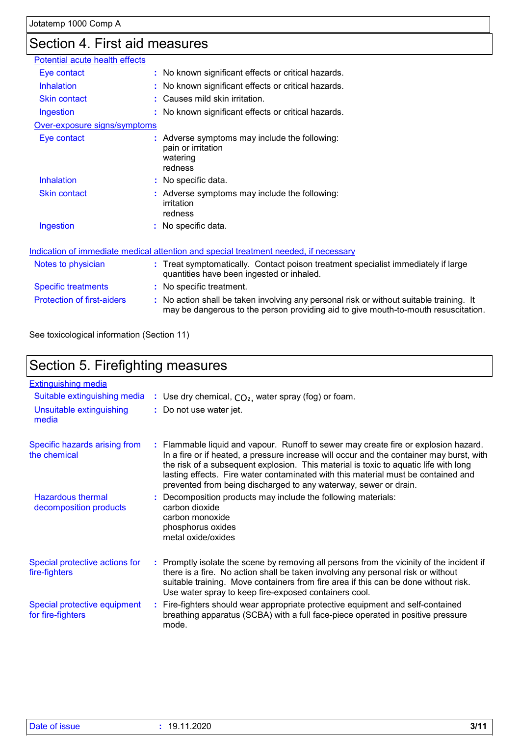### Section 4. First aid measures

| Potential acute health effects    |                                                                                                                                                                               |
|-----------------------------------|-------------------------------------------------------------------------------------------------------------------------------------------------------------------------------|
| Eye contact                       | : No known significant effects or critical hazards.                                                                                                                           |
| <b>Inhalation</b>                 | : No known significant effects or critical hazards.                                                                                                                           |
| <b>Skin contact</b>               | : Causes mild skin irritation.                                                                                                                                                |
| Ingestion                         | : No known significant effects or critical hazards.                                                                                                                           |
| Over-exposure signs/symptoms      |                                                                                                                                                                               |
| Eye contact                       | : Adverse symptoms may include the following:<br>pain or irritation<br>watering<br>redness                                                                                    |
| <b>Inhalation</b>                 | : No specific data.                                                                                                                                                           |
| <b>Skin contact</b>               | : Adverse symptoms may include the following:<br>irritation<br>redness                                                                                                        |
| Ingestion                         | : No specific data.                                                                                                                                                           |
|                                   | Indication of immediate medical attention and special treatment needed, if necessary                                                                                          |
| Notes to physician                | : Treat symptomatically. Contact poison treatment specialist immediately if large<br>quantities have been ingested or inhaled.                                                |
| <b>Specific treatments</b>        | : No specific treatment.                                                                                                                                                      |
| <b>Protection of first-aiders</b> | : No action shall be taken involving any personal risk or without suitable training. It<br>may be dangerous to the person providing aid to give mouth-to-mouth resuscitation. |

See toxicological information (Section 11)

|                                                    | Section 5. Firefighting measures |                                                                                                                                                                                                                                                                                                                                                                                                                                  |  |  |  |
|----------------------------------------------------|----------------------------------|----------------------------------------------------------------------------------------------------------------------------------------------------------------------------------------------------------------------------------------------------------------------------------------------------------------------------------------------------------------------------------------------------------------------------------|--|--|--|
| <b>Extinguishing media</b>                         |                                  |                                                                                                                                                                                                                                                                                                                                                                                                                                  |  |  |  |
| Suitable extinguishing media                       |                                  | : Use dry chemical, $CO2$ , water spray (fog) or foam.                                                                                                                                                                                                                                                                                                                                                                           |  |  |  |
| Unsuitable extinguishing<br>media                  |                                  | : Do not use water jet.                                                                                                                                                                                                                                                                                                                                                                                                          |  |  |  |
| Specific hazards arising from<br>the chemical      |                                  | : Flammable liquid and vapour. Runoff to sewer may create fire or explosion hazard.<br>In a fire or if heated, a pressure increase will occur and the container may burst, with<br>the risk of a subsequent explosion. This material is toxic to aquatic life with long<br>lasting effects. Fire water contaminated with this material must be contained and<br>prevented from being discharged to any waterway, sewer or drain. |  |  |  |
| <b>Hazardous thermal</b><br>decomposition products |                                  | : Decomposition products may include the following materials:<br>carbon dioxide<br>carbon monoxide<br>phosphorus oxides<br>metal oxide/oxides                                                                                                                                                                                                                                                                                    |  |  |  |
| Special protective actions for<br>fire-fighters    |                                  | : Promptly isolate the scene by removing all persons from the vicinity of the incident if<br>there is a fire. No action shall be taken involving any personal risk or without<br>suitable training. Move containers from fire area if this can be done without risk.<br>Use water spray to keep fire-exposed containers cool.                                                                                                    |  |  |  |
| Special protective equipment<br>for fire-fighters  | ÷.                               | Fire-fighters should wear appropriate protective equipment and self-contained<br>breathing apparatus (SCBA) with a full face-piece operated in positive pressure                                                                                                                                                                                                                                                                 |  |  |  |

mode.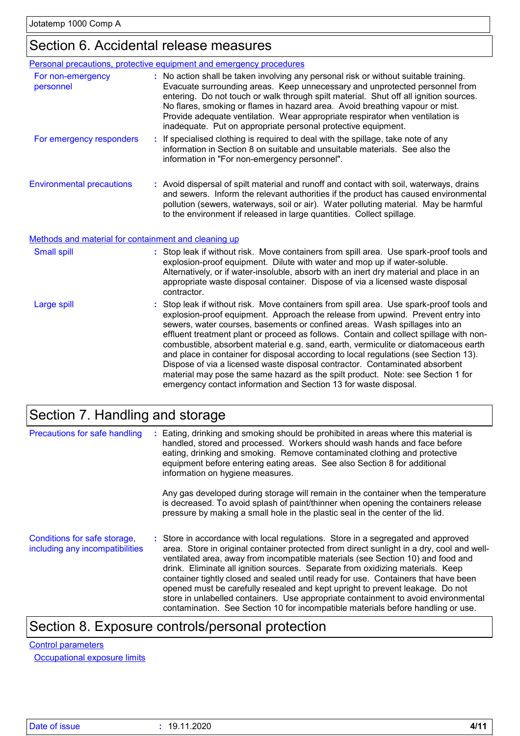### Section 6. Accidental release measures

|                                                      | Personal precautions, protective equipment and emergency procedures                                                                                                                                                                                                                                                                                                                                                                                                                                                                                                                                                                                                                                                                                                     |
|------------------------------------------------------|-------------------------------------------------------------------------------------------------------------------------------------------------------------------------------------------------------------------------------------------------------------------------------------------------------------------------------------------------------------------------------------------------------------------------------------------------------------------------------------------------------------------------------------------------------------------------------------------------------------------------------------------------------------------------------------------------------------------------------------------------------------------------|
| For non-emergency<br>personnel                       | : No action shall be taken involving any personal risk or without suitable training.<br>Evacuate surrounding areas. Keep unnecessary and unprotected personnel from<br>entering. Do not touch or walk through spilt material. Shut off all ignition sources.<br>No flares, smoking or flames in hazard area. Avoid breathing vapour or mist.<br>Provide adequate ventilation. Wear appropriate respirator when ventilation is<br>inadequate. Put on appropriate personal protective equipment.                                                                                                                                                                                                                                                                          |
| For emergency responders                             | If specialised clothing is required to deal with the spillage, take note of any<br>information in Section 8 on suitable and unsuitable materials. See also the<br>information in "For non-emergency personnel".                                                                                                                                                                                                                                                                                                                                                                                                                                                                                                                                                         |
| <b>Environmental precautions</b>                     | : Avoid dispersal of spilt material and runoff and contact with soil, waterways, drains<br>and sewers. Inform the relevant authorities if the product has caused environmental<br>pollution (sewers, waterways, soil or air). Water polluting material. May be harmful<br>to the environment if released in large quantities. Collect spillage.                                                                                                                                                                                                                                                                                                                                                                                                                         |
| Methods and material for containment and cleaning up |                                                                                                                                                                                                                                                                                                                                                                                                                                                                                                                                                                                                                                                                                                                                                                         |
| <b>Small spill</b>                                   | : Stop leak if without risk. Move containers from spill area. Use spark-proof tools and<br>explosion-proof equipment. Dilute with water and mop up if water-soluble.<br>Alternatively, or if water-insoluble, absorb with an inert dry material and place in an<br>appropriate waste disposal container. Dispose of via a licensed waste disposal<br>contractor.                                                                                                                                                                                                                                                                                                                                                                                                        |
| <b>Large spill</b>                                   | : Stop leak if without risk. Move containers from spill area. Use spark-proof tools and<br>explosion-proof equipment. Approach the release from upwind. Prevent entry into<br>sewers, water courses, basements or confined areas. Wash spillages into an<br>effluent treatment plant or proceed as follows. Contain and collect spillage with non-<br>combustible, absorbent material e.g. sand, earth, vermiculite or diatomaceous earth<br>and place in container for disposal according to local regulations (see Section 13).<br>Dispose of via a licensed waste disposal contractor. Contaminated absorbent<br>material may pose the same hazard as the spilt product. Note: see Section 1 for<br>emergency contact information and Section 13 for waste disposal. |

### Section 7. Handling and storage

| Precautions for safe handling                                   | : Eating, drinking and smoking should be prohibited in areas where this material is<br>handled, stored and processed. Workers should wash hands and face before<br>eating, drinking and smoking. Remove contaminated clothing and protective<br>equipment before entering eating areas. See also Section 8 for additional<br>information on hygiene measures.<br>Any gas developed during storage will remain in the container when the temperature<br>is decreased. To avoid splash of paint/thinner when opening the containers release<br>pressure by making a small hole in the plastic seal in the center of the lid.                                                                          |
|-----------------------------------------------------------------|-----------------------------------------------------------------------------------------------------------------------------------------------------------------------------------------------------------------------------------------------------------------------------------------------------------------------------------------------------------------------------------------------------------------------------------------------------------------------------------------------------------------------------------------------------------------------------------------------------------------------------------------------------------------------------------------------------|
| Conditions for safe storage,<br>including any incompatibilities | : Store in accordance with local regulations. Store in a segregated and approved<br>area. Store in original container protected from direct sunlight in a dry, cool and well-<br>ventilated area, away from incompatible materials (see Section 10) and food and<br>drink. Eliminate all ignition sources. Separate from oxidizing materials. Keep<br>container tightly closed and sealed until ready for use. Containers that have been<br>opened must be carefully resealed and kept upright to prevent leakage. Do not<br>store in unlabelled containers. Use appropriate containment to avoid environmental<br>contamination. See Section 10 for incompatible materials before handling or use. |

### Section 8. Exposure controls/personal protection

#### Control parameters

**Occupational exposure limits**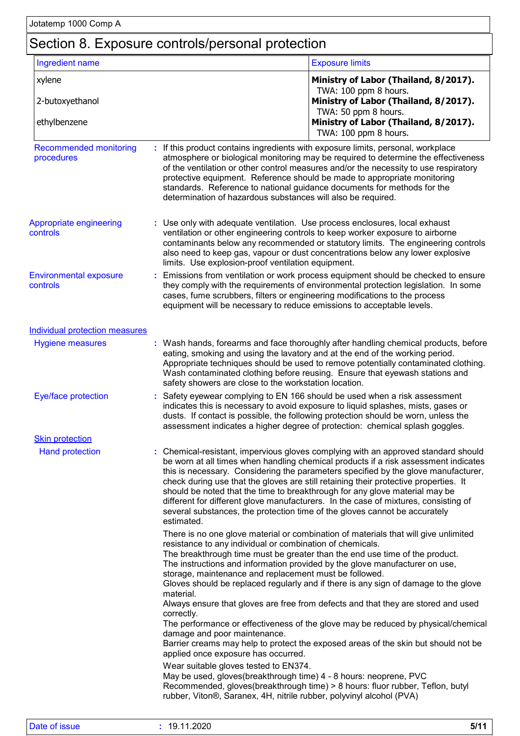### Section 8. Exposure controls/personal protection

| Ingredient name                             |                                                                                                                                                                                    | <b>Exposure limits</b>                                                                                                                                                                                                                                                                                                                                                                                                                                                                                                                                                                                      |
|---------------------------------------------|------------------------------------------------------------------------------------------------------------------------------------------------------------------------------------|-------------------------------------------------------------------------------------------------------------------------------------------------------------------------------------------------------------------------------------------------------------------------------------------------------------------------------------------------------------------------------------------------------------------------------------------------------------------------------------------------------------------------------------------------------------------------------------------------------------|
| xylene                                      |                                                                                                                                                                                    | Ministry of Labor (Thailand, 8/2017).                                                                                                                                                                                                                                                                                                                                                                                                                                                                                                                                                                       |
| 2-butoxyethanol                             |                                                                                                                                                                                    | TWA: 100 ppm 8 hours.<br>Ministry of Labor (Thailand, 8/2017).                                                                                                                                                                                                                                                                                                                                                                                                                                                                                                                                              |
| ethylbenzene                                |                                                                                                                                                                                    | TWA: 50 ppm 8 hours.<br>Ministry of Labor (Thailand, 8/2017).<br>TWA: 100 ppm 8 hours.                                                                                                                                                                                                                                                                                                                                                                                                                                                                                                                      |
| <b>Recommended monitoring</b><br>procedures | determination of hazardous substances will also be required.                                                                                                                       | If this product contains ingredients with exposure limits, personal, workplace<br>atmosphere or biological monitoring may be required to determine the effectiveness<br>of the ventilation or other control measures and/or the necessity to use respiratory<br>protective equipment. Reference should be made to appropriate monitoring<br>standards. Reference to national guidance documents for methods for the                                                                                                                                                                                         |
| Appropriate engineering<br>controls         | : Use only with adequate ventilation. Use process enclosures, local exhaust<br>limits. Use explosion-proof ventilation equipment.                                                  | ventilation or other engineering controls to keep worker exposure to airborne<br>contaminants below any recommended or statutory limits. The engineering controls<br>also need to keep gas, vapour or dust concentrations below any lower explosive                                                                                                                                                                                                                                                                                                                                                         |
| <b>Environmental exposure</b><br>controls   | cases, fume scrubbers, filters or engineering modifications to the process<br>equipment will be necessary to reduce emissions to acceptable levels.                                | Emissions from ventilation or work process equipment should be checked to ensure<br>they comply with the requirements of environmental protection legislation. In some                                                                                                                                                                                                                                                                                                                                                                                                                                      |
| <b>Individual protection measures</b>       |                                                                                                                                                                                    |                                                                                                                                                                                                                                                                                                                                                                                                                                                                                                                                                                                                             |
| <b>Hygiene measures</b>                     | safety showers are close to the workstation location.                                                                                                                              | : Wash hands, forearms and face thoroughly after handling chemical products, before<br>eating, smoking and using the lavatory and at the end of the working period.<br>Appropriate techniques should be used to remove potentially contaminated clothing.<br>Wash contaminated clothing before reusing. Ensure that eyewash stations and                                                                                                                                                                                                                                                                    |
| Eye/face protection                         |                                                                                                                                                                                    | Safety eyewear complying to EN 166 should be used when a risk assessment<br>indicates this is necessary to avoid exposure to liquid splashes, mists, gases or<br>dusts. If contact is possible, the following protection should be worn, unless the<br>assessment indicates a higher degree of protection: chemical splash goggles.                                                                                                                                                                                                                                                                         |
| <b>Skin protection</b>                      |                                                                                                                                                                                    |                                                                                                                                                                                                                                                                                                                                                                                                                                                                                                                                                                                                             |
| <b>Hand protection</b>                      | estimated.                                                                                                                                                                         | : Chemical-resistant, impervious gloves complying with an approved standard should<br>be worn at all times when handling chemical products if a risk assessment indicates<br>this is necessary. Considering the parameters specified by the glove manufacturer,<br>check during use that the gloves are still retaining their protective properties. It<br>should be noted that the time to breakthrough for any glove material may be<br>different for different glove manufacturers. In the case of mixtures, consisting of<br>several substances, the protection time of the gloves cannot be accurately |
|                                             | resistance to any individual or combination of chemicals.<br>storage, maintenance and replacement must be followed.<br>material.                                                   | There is no one glove material or combination of materials that will give unlimited<br>The breakthrough time must be greater than the end use time of the product.<br>The instructions and information provided by the glove manufacturer on use,<br>Gloves should be replaced regularly and if there is any sign of damage to the glove<br>Always ensure that gloves are free from defects and that they are stored and used                                                                                                                                                                               |
|                                             | correctly.<br>damage and poor maintenance.<br>applied once exposure has occurred.                                                                                                  | The performance or effectiveness of the glove may be reduced by physical/chemical<br>Barrier creams may help to protect the exposed areas of the skin but should not be                                                                                                                                                                                                                                                                                                                                                                                                                                     |
|                                             | Wear suitable gloves tested to EN374.<br>May be used, gloves(breakthrough time) 4 - 8 hours: neoprene, PVC<br>rubber, Viton®, Saranex, 4H, nitrile rubber, polyvinyl alcohol (PVA) | Recommended, gloves(breakthrough time) > 8 hours: fluor rubber, Teflon, butyl                                                                                                                                                                                                                                                                                                                                                                                                                                                                                                                               |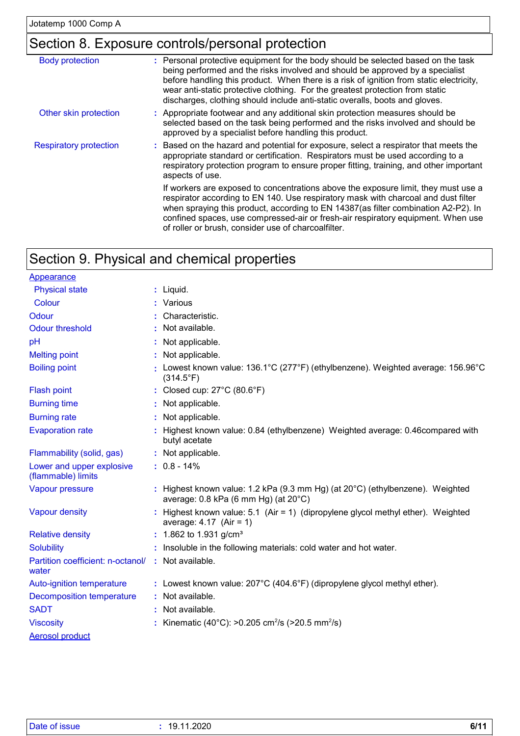### Section 8. Exposure controls/personal protection

| <b>Body protection</b>        | : Personal protective equipment for the body should be selected based on the task<br>being performed and the risks involved and should be approved by a specialist<br>before handling this product. When there is a risk of ignition from static electricity,<br>wear anti-static protective clothing. For the greatest protection from static<br>discharges, clothing should include anti-static overalls, boots and gloves. |
|-------------------------------|-------------------------------------------------------------------------------------------------------------------------------------------------------------------------------------------------------------------------------------------------------------------------------------------------------------------------------------------------------------------------------------------------------------------------------|
| Other skin protection         | : Appropriate footwear and any additional skin protection measures should be<br>selected based on the task being performed and the risks involved and should be<br>approved by a specialist before handling this product.                                                                                                                                                                                                     |
| <b>Respiratory protection</b> | : Based on the hazard and potential for exposure, select a respirator that meets the<br>appropriate standard or certification. Respirators must be used according to a<br>respiratory protection program to ensure proper fitting, training, and other important<br>aspects of use.                                                                                                                                           |
|                               | If workers are exposed to concentrations above the exposure limit, they must use a<br>respirator according to EN 140. Use respiratory mask with charcoal and dust filter<br>when spraying this product, according to EN 14387(as filter combination A2-P2). In<br>confined spaces, use compressed-air or fresh-air respiratory equipment. When use<br>of roller or brush, consider use of charcoalfilter.                     |
|                               |                                                                                                                                                                                                                                                                                                                                                                                                                               |

### Section 9. Physical and chemical properties

|                                   | $:$ Liquid.                                                                                                                     |
|-----------------------------------|---------------------------------------------------------------------------------------------------------------------------------|
|                                   | : Various                                                                                                                       |
|                                   | Characteristic.                                                                                                                 |
|                                   | Not available.                                                                                                                  |
|                                   | Not applicable.                                                                                                                 |
|                                   | : Not applicable.                                                                                                               |
|                                   | Lowest known value: 136.1°C (277°F) (ethylbenzene). Weighted average: 156.96°C<br>$(314.5^{\circ}F)$                            |
|                                   | : Closed cup: 27°C (80.6°F)                                                                                                     |
|                                   | Not applicable.                                                                                                                 |
|                                   | : Not applicable.                                                                                                               |
|                                   | Highest known value: 0.84 (ethylbenzene) Weighted average: 0.46compared with<br>butyl acetate                                   |
|                                   | : Not applicable.                                                                                                               |
|                                   | $: 0.8 - 14\%$                                                                                                                  |
|                                   | : Highest known value: 1.2 kPa (9.3 mm Hg) (at $20^{\circ}$ C) (ethylbenzene). Weighted<br>average: 0.8 kPa (6 mm Hg) (at 20°C) |
|                                   | Highest known value: 5.1 (Air = 1) (dipropylene glycol methyl ether). Weighted<br>average: $4.17$ (Air = 1)                     |
|                                   | : 1.862 to 1.931 g/cm <sup>3</sup>                                                                                              |
|                                   | : Insoluble in the following materials: cold water and hot water.                                                               |
| Partition coefficient: n-octanol/ | : Not available.                                                                                                                |
|                                   | : Lowest known value: $207^{\circ}$ C (404.6°F) (dipropylene glycol methyl ether).                                              |
|                                   | : Not available.                                                                                                                |
|                                   | : Not available.                                                                                                                |
|                                   | : Kinematic (40°C): >0.205 cm <sup>2</sup> /s (>20.5 mm <sup>2</sup> /s)                                                        |
|                                   |                                                                                                                                 |
|                                   |                                                                                                                                 |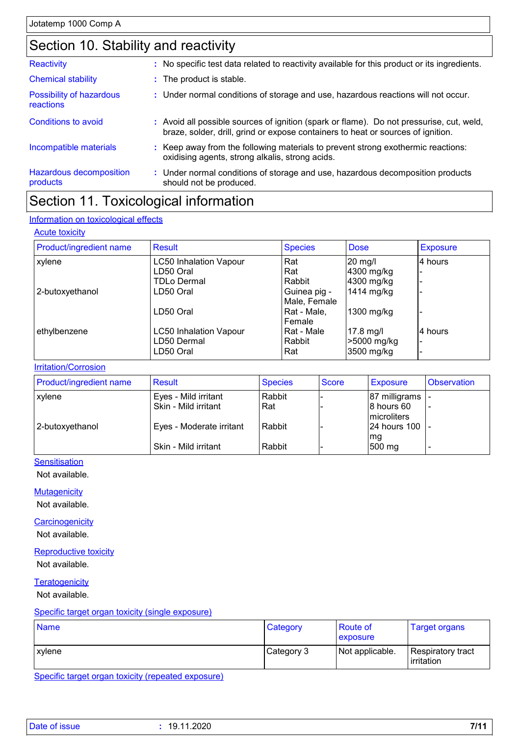### Section 10. Stability and reactivity

| Reactivity                                 | : No specific test data related to reactivity available for this product or its ingredients.                                                                                 |
|--------------------------------------------|------------------------------------------------------------------------------------------------------------------------------------------------------------------------------|
| <b>Chemical stability</b>                  | : The product is stable.                                                                                                                                                     |
| Possibility of hazardous<br>reactions      | : Under normal conditions of storage and use, hazardous reactions will not occur.                                                                                            |
| Conditions to avoid                        | : Avoid all possible sources of ignition (spark or flame). Do not pressurise, cut, weld,<br>braze, solder, drill, grind or expose containers to heat or sources of ignition. |
| Incompatible materials                     | : Keep away from the following materials to prevent strong exothermic reactions:<br>oxidising agents, strong alkalis, strong acids.                                          |
| <b>Hazardous decomposition</b><br>products | : Under normal conditions of storage and use, hazardous decomposition products<br>should not be produced.                                                                    |

### Section 11. Toxicological information

#### Information on toxicological effects

#### **Acute toxicity**

| Product/ingredient name | Result                        | <b>Species</b> | <b>Dose</b> | <b>Exposure</b> |
|-------------------------|-------------------------------|----------------|-------------|-----------------|
| xylene                  | <b>LC50 Inhalation Vapour</b> | Rat            | 20 mg/l     | 4 hours         |
|                         | LD50 Oral                     | Rat            | 4300 mg/kg  |                 |
|                         | <b>TDLo Dermal</b>            | Rabbit         | 4300 mg/kg  |                 |
| 2-butoxyethanol         | LD50 Oral                     | Guinea pig -   | 1414 mg/kg  |                 |
|                         |                               | Male, Female   |             |                 |
|                         | LD50 Oral                     | Rat - Male,    | 1300 mg/kg  |                 |
|                         |                               | Female         |             |                 |
| ethylbenzene            | <b>LC50 Inhalation Vapour</b> | Rat - Male     | $17.8$ mg/l | 4 hours         |
|                         | LD50 Dermal                   | Rabbit         | >5000 mg/kg |                 |
|                         | LD50 Oral                     | Rat            | 3500 mg/kg  |                 |

#### **Irritation/Corrosion**

| <b>Product/ingredient name</b> | <b>Result</b>            | <b>Species</b> | <b>Score</b> | Exposure                   | <b>Observation</b>       |
|--------------------------------|--------------------------|----------------|--------------|----------------------------|--------------------------|
| <b>xylene</b>                  | Eyes - Mild irritant     | Rabbit         |              | 87 milligrams  -           |                          |
|                                | Skin - Mild irritant     | Rat            |              | 8 hours 60<br>Imicroliters | $\overline{\phantom{a}}$ |
| 2-butoxyethanol                | Eyes - Moderate irritant | Rabbit         |              | 24 hours 100 -<br>mg       |                          |
|                                | Skin - Mild irritant     | Rabbit         |              | 500 mg                     |                          |

#### **Sensitisation**

Not available.

**Mutagenicity** 

Not available.

**Carcinogenicity** 

Not available.

Reproductive toxicity Not available.

**Teratogenicity** 

Not available.

#### Specific target organ toxicity (single exposure)

| <b>Name</b> | Category   | Route of<br>exposure | <b>Target organs</b>            |
|-------------|------------|----------------------|---------------------------------|
| l xvlene    | Category 3 | Not applicable.      | Respiratory tract<br>irritation |

Specific target organ toxicity (repeated exposure)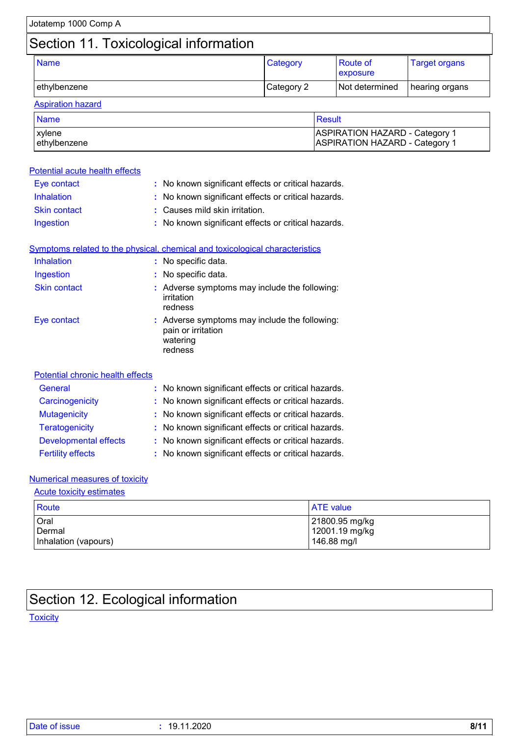| Jotatemp 1000 Comp A           |                                                     |                                |                                                                                |                      |  |
|--------------------------------|-----------------------------------------------------|--------------------------------|--------------------------------------------------------------------------------|----------------------|--|
|                                | Section 11. Toxicological information               |                                |                                                                                |                      |  |
| <b>Name</b>                    |                                                     | Category                       | Route of<br>exposure                                                           | <b>Target organs</b> |  |
| ethylbenzene                   |                                                     | Category 2                     | Not determined                                                                 | hearing organs       |  |
| <b>Aspiration hazard</b>       |                                                     |                                |                                                                                |                      |  |
| <b>Name</b>                    |                                                     |                                | <b>Result</b>                                                                  |                      |  |
| xylene<br>ethylbenzene         |                                                     |                                | <b>ASPIRATION HAZARD - Category 1</b><br><b>ASPIRATION HAZARD - Category 1</b> |                      |  |
| Potential acute health effects |                                                     |                                |                                                                                |                      |  |
| Eye contact                    | : No known significant effects or critical hazards. |                                |                                                                                |                      |  |
| <b>Inhalation</b>              | : No known significant effects or critical hazards. |                                |                                                                                |                      |  |
| <b>Skin contact</b>            |                                                     | : Causes mild skin irritation. |                                                                                |                      |  |
|                                |                                                     |                                | No known significant effects or critical hazards.                              |                      |  |

|                     | Symptoms related to the physical, chemical and toxicological characteristics               |  |
|---------------------|--------------------------------------------------------------------------------------------|--|
| <b>Inhalation</b>   | : No specific data.                                                                        |  |
| Ingestion           | : No specific data.                                                                        |  |
| <b>Skin contact</b> | : Adverse symptoms may include the following:<br>irritation<br>redness                     |  |
| Eye contact         | : Adverse symptoms may include the following:<br>pain or irritation<br>watering<br>redness |  |

| Potential chronic health effects |                                                     |
|----------------------------------|-----------------------------------------------------|
| <b>General</b>                   | : No known significant effects or critical hazards. |
| Carcinogenicity                  | : No known significant effects or critical hazards. |
| <b>Mutagenicity</b>              | : No known significant effects or critical hazards. |
| <b>Teratogenicity</b>            | : No known significant effects or critical hazards. |
| <b>Developmental effects</b>     | : No known significant effects or critical hazards. |
| <b>Fertility effects</b>         | : No known significant effects or critical hazards. |

### Numerical measures of toxicity

Acute toxicity estimates

| Route                | <b>ATE</b> value |
|----------------------|------------------|
| Oral                 | 21800.95 mg/kg   |
| Dermal               | 12001.19 mg/kg   |
| Inhalation (vapours) | 146.88 mg/l      |

## Section 12. Ecological information

**Toxicity**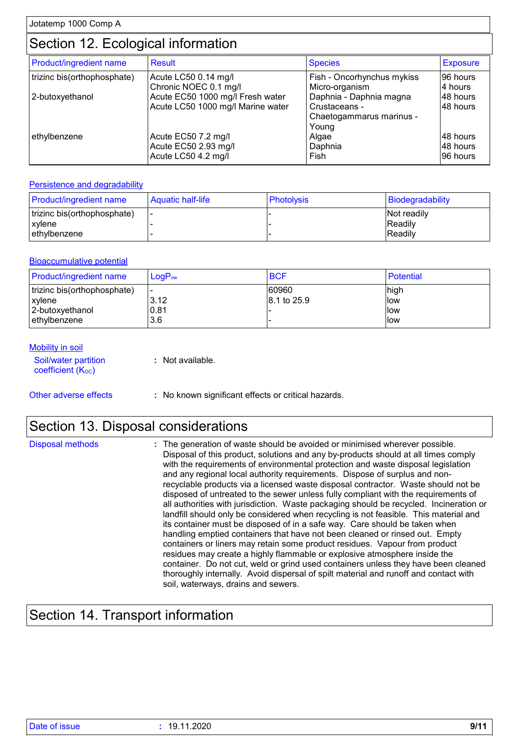### Section 12. Ecological information

| <b>Product/ingredient name</b> | <b>Result</b>                                                         | <b>Species</b>                                                       | <b>Exposure</b>                   |
|--------------------------------|-----------------------------------------------------------------------|----------------------------------------------------------------------|-----------------------------------|
| trizinc bis(orthophosphate)    | Acute LC50 0.14 mg/l<br>Chronic NOEC 0.1 mg/l                         | Fish - Oncorhynchus mykiss<br>Micro-organism                         | 96 hours<br>4 hours               |
| 2-butoxyethanol                | Acute EC50 1000 mg/l Fresh water<br>Acute LC50 1000 mg/l Marine water | Daphnia - Daphnia magna<br>Crustaceans -<br>Chaetogammarus marinus - | 48 hours<br>48 hours              |
| ethylbenzene                   | Acute EC50 7.2 mg/l<br>Acute EC50 2.93 mg/l<br>Acute LC50 4.2 mg/l    | Young<br>Algae<br>Daphnia<br>Fish                                    | 148 hours<br>48 hours<br>96 hours |

#### Persistence and degradability

| <b>Product/ingredient name</b> | Aquatic half-life | <b>Photolysis</b> | Biodegradability   |
|--------------------------------|-------------------|-------------------|--------------------|
| trizinc bis(orthophosphate)    |                   |                   | <b>Not readily</b> |
| <b>xylene</b>                  |                   |                   | Readily            |
| lethvlbenzene                  |                   |                   | Readily            |

#### **Bioaccumulative potential**

| <b>Product/ingredient name</b> | $\mathsf{LogP}_\mathsf{ow}$ | <b>BCF</b>  | Potential |
|--------------------------------|-----------------------------|-------------|-----------|
| trizinc bis(orthophosphate)    | <u>. </u>                   | 60960       | high      |
| <b>xvlene</b>                  | 3.12                        | 8.1 to 25.9 | llow      |
| 2-butoxyethanol                | 0.81                        |             | llow      |
| lethylbenzene                  | 3.6                         |             | llow      |

#### **Mobility in soil**

| Soil/water partition           | : Not available. |
|--------------------------------|------------------|
| coefficient (K <sub>oc</sub> ) |                  |

Other adverse effects **:** No known significant effects or critical hazards.

### Section 13. Disposal considerations

Disposal methods **:**

The generation of waste should be avoided or minimised wherever possible. Disposal of this product, solutions and any by-products should at all times comply with the requirements of environmental protection and waste disposal legislation and any regional local authority requirements. Dispose of surplus and nonrecyclable products via a licensed waste disposal contractor. Waste should not be disposed of untreated to the sewer unless fully compliant with the requirements of all authorities with jurisdiction. Waste packaging should be recycled. Incineration or landfill should only be considered when recycling is not feasible. This material and its container must be disposed of in a safe way. Care should be taken when handling emptied containers that have not been cleaned or rinsed out. Empty containers or liners may retain some product residues. Vapour from product residues may create a highly flammable or explosive atmosphere inside the container. Do not cut, weld or grind used containers unless they have been cleaned thoroughly internally. Avoid dispersal of spilt material and runoff and contact with soil, waterways, drains and sewers.

### Section 14. Transport information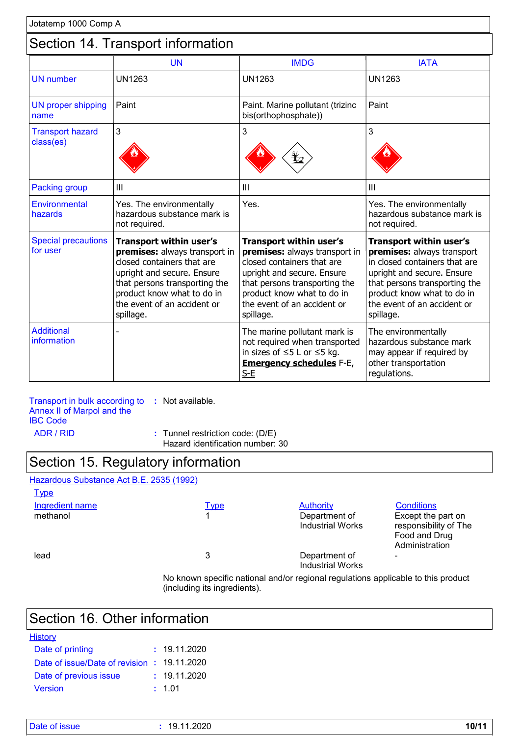### Section 14. Transport information

|                                        | <b>UN</b>                                                                                                                                                                                                                              | <b>IMDG</b>                                                                                                                                                                                                                     | <b>IATA</b>                                                                                                                                                                                                                     |
|----------------------------------------|----------------------------------------------------------------------------------------------------------------------------------------------------------------------------------------------------------------------------------------|---------------------------------------------------------------------------------------------------------------------------------------------------------------------------------------------------------------------------------|---------------------------------------------------------------------------------------------------------------------------------------------------------------------------------------------------------------------------------|
| <b>UN</b> number                       | <b>UN1263</b>                                                                                                                                                                                                                          | <b>UN1263</b>                                                                                                                                                                                                                   | <b>UN1263</b>                                                                                                                                                                                                                   |
| <b>UN proper shipping</b><br>name      | Paint                                                                                                                                                                                                                                  | Paint. Marine pollutant (trizinc<br>bis(orthophosphate))                                                                                                                                                                        | Paint                                                                                                                                                                                                                           |
| <b>Transport hazard</b><br>class(es)   | 3                                                                                                                                                                                                                                      | 3<br>3                                                                                                                                                                                                                          |                                                                                                                                                                                                                                 |
| <b>Packing group</b>                   | Ш                                                                                                                                                                                                                                      | Ш                                                                                                                                                                                                                               | Ш                                                                                                                                                                                                                               |
| Environmental<br>hazards               | Yes. The environmentally<br>hazardous substance mark is<br>not required.                                                                                                                                                               | Yes.                                                                                                                                                                                                                            | Yes. The environmentally<br>hazardous substance mark is<br>not required.                                                                                                                                                        |
| <b>Special precautions</b><br>for user | <b>Transport within user's</b><br>premises: always transport in<br>closed containers that are<br>upright and secure. Ensure<br>that persons transporting the<br>product know what to do in<br>the event of an accident or<br>spillage. | Transport within user's<br>premises: always transport in<br>closed containers that are<br>upright and secure. Ensure<br>that persons transporting the<br>product know what to do in<br>the event of an accident or<br>spillage. | Transport within user's<br>premises: always transport<br>in closed containers that are<br>upright and secure. Ensure<br>that persons transporting the<br>product know what to do in<br>the event of an accident or<br>spillage. |
| <b>Additional</b><br>information       |                                                                                                                                                                                                                                        | The marine pollutant mark is<br>not required when transported<br>in sizes of $\leq$ 5 L or $\leq$ 5 kg.<br><b>Emergency schedules F-E,</b><br>$S-E$                                                                             | The environmentally<br>hazardous substance mark<br>may appear if required by<br>other transportation<br>regulations.                                                                                                            |

Transport in bulk according to **:** Not available. Annex II of Marpol and the IBC Code ADR / RID **:** Tunnel restriction code: (D/E)

Hazard identification number: 30

### Section 15. Regulatory information

#### Hazardous Substance Act B.E. 2535 (1992) Ingredient name Type Authority Conditions<br>
Type Authority Conditions<br>
Type Authority Conditions<br>
Department of Except the **Type** Department of Industrial Works Except the part on responsibility of The Food and Drug **Administration** lead and 3 Department of Industrial Works -

No known specific national and/or regional regulations applicable to this product (including its ingredients).

### Section 16. Other information

| <b>History</b>                              |              |
|---------------------------------------------|--------------|
| Date of printing                            | : 19.11.2020 |
| Date of issue/Date of revision : 19.11.2020 |              |
| Date of previous issue                      | : 19.11.2020 |
| <b>Version</b>                              | : 1.01       |